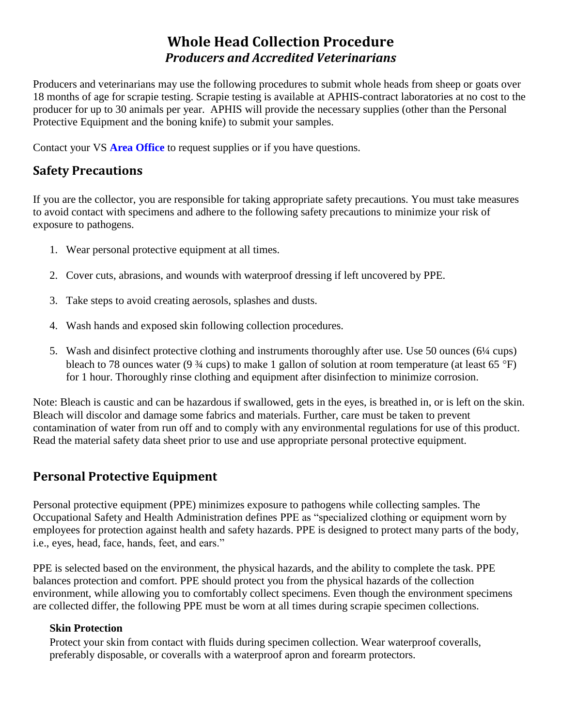# **Whole Head Collection Procedure**  *Producers and Accredited Veterinarians*

Producers and veterinarians may use the following procedures to submit whole heads from sheep or goats over 18 months of age for scrapie testing. Scrapie testing is available at APHIS-contract laboratories at no cost to the producer for up to 30 animals per year. APHIS will provide the necessary supplies (other than the Personal Protective Equipment and the boning knife) to submit your samples.

Contact your VS **[Area Office](https://www.aphis.usda.gov/animal_health/downloads/sprs_contact/field_office_contact_info.pdf)** to request supplies or if you have questions.

## **Safety Precautions**

If you are the collector, you are responsible for taking appropriate safety precautions. You must take measures to avoid contact with specimens and adhere to the following safety precautions to minimize your risk of exposure to pathogens.

- 1. Wear personal protective equipment at all times.
- 2. Cover cuts, abrasions, and wounds with waterproof dressing if left uncovered by PPE.
- 3. Take steps to avoid creating aerosols, splashes and dusts.
- 4. Wash hands and exposed skin following collection procedures.
- 5. Wash and disinfect protective clothing and instruments thoroughly after use. Use 50 ounces (6¼ cups) bleach to 78 ounces water (9  $\frac{3}{4}$  cups) to make 1 gallon of solution at room temperature (at least 65 °F) for 1 hour. Thoroughly rinse clothing and equipment after disinfection to minimize corrosion.

Note: Bleach is caustic and can be hazardous if swallowed, gets in the eyes, is breathed in, or is left on the skin. Bleach will discolor and damage some fabrics and materials. Further, care must be taken to prevent contamination of water from run off and to comply with any environmental regulations for use of this product. Read the material safety data sheet prior to use and use appropriate personal protective equipment.

## **Personal Protective Equipment**

Personal protective equipment (PPE) minimizes exposure to pathogens while collecting samples. The Occupational Safety and Health Administration defines PPE as "specialized clothing or equipment worn by employees for protection against health and safety hazards. PPE is designed to protect many parts of the body, i.e., eyes, head, face, hands, feet, and ears."

PPE is selected based on the environment, the physical hazards, and the ability to complete the task. PPE balances protection and comfort. PPE should protect you from the physical hazards of the collection environment, while allowing you to comfortably collect specimens. Even though the environment specimens are collected differ, the following PPE must be worn at all times during scrapie specimen collections.

#### **Skin Protection**

Protect your skin from contact with fluids during specimen collection. Wear waterproof coveralls, preferably disposable, or coveralls with a waterproof apron and forearm protectors.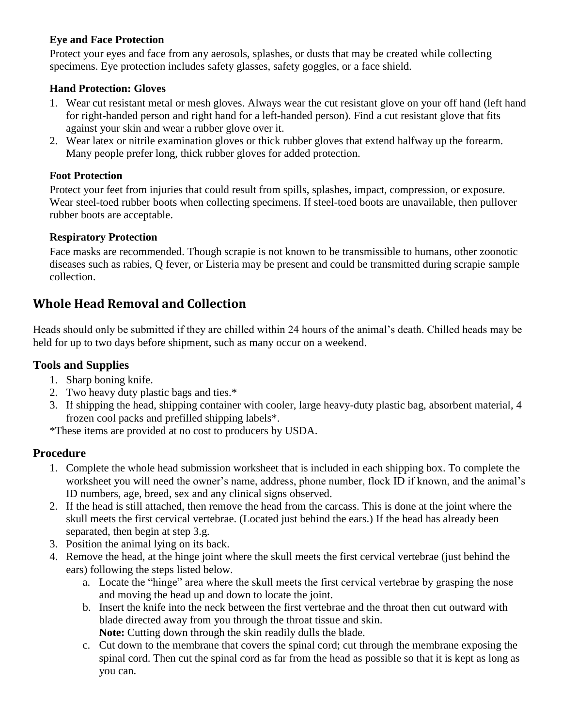#### **Eye and Face Protection**

Protect your eyes and face from any aerosols, splashes, or dusts that may be created while collecting specimens. Eye protection includes safety glasses, safety goggles, or a face shield.

#### **Hand Protection: Gloves**

- 1. Wear cut resistant metal or mesh gloves. Always wear the cut resistant glove on your off hand (left hand for right-handed person and right hand for a left-handed person). Find a cut resistant glove that fits against your skin and wear a rubber glove over it.
- 2. Wear latex or nitrile examination gloves or thick rubber gloves that extend halfway up the forearm. Many people prefer long, thick rubber gloves for added protection.

### **Foot Protection**

Protect your feet from injuries that could result from spills, splashes, impact, compression, or exposure. Wear steel-toed rubber boots when collecting specimens. If steel-toed boots are unavailable, then pullover rubber boots are acceptable.

#### **Respiratory Protection**

Face masks are recommended. Though scrapie is not known to be transmissible to humans, other zoonotic diseases such as rabies, Q fever, or Listeria may be present and could be transmitted during scrapie sample collection.

## **Whole Head Removal and Collection**

Heads should only be submitted if they are chilled within 24 hours of the animal's death. Chilled heads may be held for up to two days before shipment, such as many occur on a weekend.

### **Tools and Supplies**

- 1. Sharp boning knife.
- 2. Two heavy duty plastic bags and ties.\*
- 3. If shipping the head, shipping container with cooler, large heavy-duty plastic bag, absorbent material, 4 frozen cool packs and prefilled shipping labels\*.

\*These items are provided at no cost to producers by USDA.

### **Procedure**

- 1. Complete the whole head submission worksheet that is included in each shipping box. To complete the worksheet you will need the owner's name, address, phone number, flock ID if known, and the animal's ID numbers, age, breed, sex and any clinical signs observed.
- 2. If the head is still attached, then remove the head from the carcass. This is done at the joint where the skull meets the first cervical vertebrae. (Located just behind the ears.) If the head has already been separated, then begin at step 3.g.
- 3. Position the animal lying on its back.
- 4. Remove the head, at the hinge joint where the skull meets the first cervical vertebrae (just behind the ears) following the steps listed below.
	- a. Locate the "hinge" area where the skull meets the first cervical vertebrae by grasping the nose and moving the head up and down to locate the joint.
	- b. Insert the knife into the neck between the first vertebrae and the throat then cut outward with blade directed away from you through the throat tissue and skin. **Note:** Cutting down through the skin readily dulls the blade.
	- c. Cut down to the membrane that covers the spinal cord; cut through the membrane exposing the spinal cord. Then cut the spinal cord as far from the head as possible so that it is kept as long as you can.